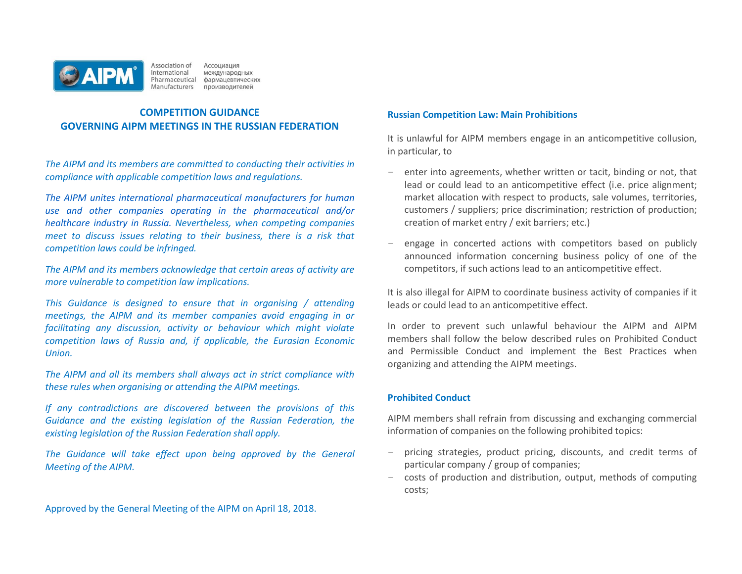

Association of<br>International Ассоциация международных Pharmaceutical фармацевтических Manufacturers производителей

# **COMPETITION GUIDANCE GOVERNING AIPM MEETINGS IN THE RUSSIAN FEDERATION**

*The AIPM and its members are committed to conducting their activities in compliance with applicable competition laws and regulations.*

*The AIPM unites international pharmaceutical manufacturers for human use and other companies operating in the pharmaceutical and/or healthcare industry in Russia. Nevertheless, when competing companies meet to discuss issues relating to their business, there is a risk that competition laws could be infringed.* 

*The AIPM and its members acknowledge that certain areas of activity are more vulnerable to competition law implications.* 

*This Guidance is designed to ensure that in organising / attending meetings, the AIPM and its member companies avoid engaging in or facilitating any discussion, activity or behaviour which might violate competition laws of Russia and, if applicable, the Eurasian Economic Union.* 

*The AIPM and all its members shall always act in strict compliance with these rules when organising or attending the AIPM meetings.*

*If any contradictions are discovered between the provisions of this Guidance and the existing legislation of the Russian Federation, the existing legislation of the Russian Federation shall apply.* 

*The Guidance will take effect upon being approved by the General Meeting of the AIPM.* 

Approved by the General Meeting of the AIPM on April 18, 2018.

#### **Russian Competition Law: Main Prohibitions**

It is unlawful for AIPM members engage in an anticompetitive collusion, in particular, to

- enter into agreements, whether written or tacit, binding or not, that lead or could lead to an anticompetitive effect (i.e. price alignment; market allocation with respect to products, sale volumes, territories, customers / suppliers; price discrimination; restriction of production; creation of market entry / exit barriers; etc.)
- engage in concerted actions with competitors based on publicly announced information concerning business policy of one of the competitors, if such actions lead to an anticompetitive effect.

It is also illegal for AIPM to coordinate business activity of companies if it leads or could lead to an anticompetitive effect.

In order to prevent such unlawful behaviour the AIPM and AIPM members shall follow the below described rules on Prohibited Conduct and Permissible Conduct and implement the Best Practices when organizing and attending the AIPM meetings.

## **Prohibited Conduct**

AIPM members shall refrain from discussing and exchanging commercial information of companies on the following prohibited topics:

- pricing strategies, product pricing, discounts, and credit terms of particular company / group of companies;
- − costs of production and distribution, output, methods of computing costs;